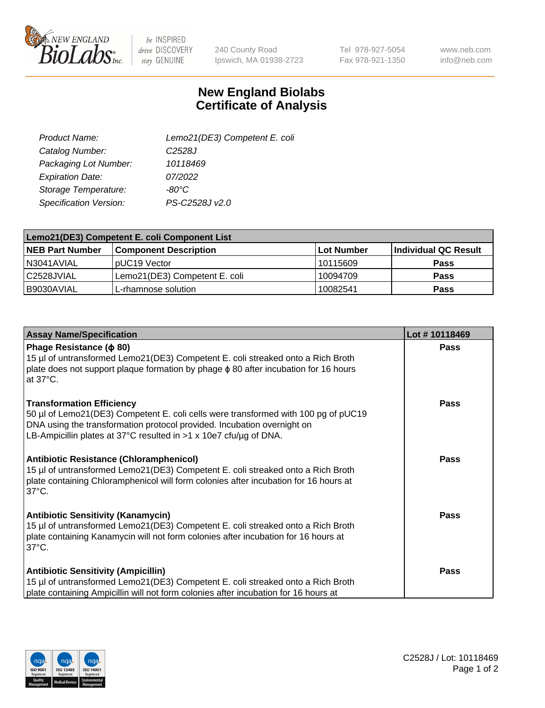

be INSPIRED drive DISCOVERY stay GENUINE

240 County Road Ipswich, MA 01938-2723 Tel 978-927-5054 Fax 978-921-1350

www.neb.com info@neb.com

## **New England Biolabs Certificate of Analysis**

| Lemo21(DE3) Competent E. coli |
|-------------------------------|
| C <sub>2528</sub> J           |
| 10118469                      |
| 07/2022                       |
| $-80^{\circ}$ C               |
| PS-C2528J v2.0                |
|                               |

| Lemo21(DE3) Competent E. coli Component List |                               |                   |                      |  |
|----------------------------------------------|-------------------------------|-------------------|----------------------|--|
| <b>NEB Part Number</b>                       | <b>Component Description</b>  | <b>Lot Number</b> | Individual QC Result |  |
| N3041AVIAL                                   | I pUC19 Vector                | 10115609          | Pass                 |  |
| l C2528JVIAL                                 | Lemo21(DE3) Competent E. coli | 10094709          | Pass                 |  |
| B9030AVIAL                                   | 'L-rhamnose solution          | 10082541          | <b>Pass</b>          |  |

| <b>Assay Name/Specification</b>                                                                                                                                                                                                                                        | Lot #10118469 |
|------------------------------------------------------------------------------------------------------------------------------------------------------------------------------------------------------------------------------------------------------------------------|---------------|
| Phage Resistance ( $\phi$ 80)<br>15 µl of untransformed Lemo21(DE3) Competent E. coli streaked onto a Rich Broth<br>plate does not support plaque formation by phage $\phi$ 80 after incubation for 16 hours<br>at $37^{\circ}$ C.                                     | <b>Pass</b>   |
| <b>Transformation Efficiency</b><br>50 µl of Lemo21(DE3) Competent E. coli cells were transformed with 100 pg of pUC19<br>DNA using the transformation protocol provided. Incubation overnight on<br>LB-Ampicillin plates at 37°C resulted in >1 x 10e7 cfu/ug of DNA. | <b>Pass</b>   |
| Antibiotic Resistance (Chloramphenicol)<br>15 µl of untransformed Lemo21(DE3) Competent E. coli streaked onto a Rich Broth<br>plate containing Chloramphenicol will form colonies after incubation for 16 hours at<br>$37^{\circ}$ C.                                  | <b>Pass</b>   |
| <b>Antibiotic Sensitivity (Kanamycin)</b><br>15 µl of untransformed Lemo21(DE3) Competent E. coli streaked onto a Rich Broth<br>plate containing Kanamycin will not form colonies after incubation for 16 hours at<br>$37^{\circ}$ C.                                  | <b>Pass</b>   |
| <b>Antibiotic Sensitivity (Ampicillin)</b><br>15 µl of untransformed Lemo21(DE3) Competent E. coli streaked onto a Rich Broth<br>plate containing Ampicillin will not form colonies after incubation for 16 hours at                                                   | Pass          |